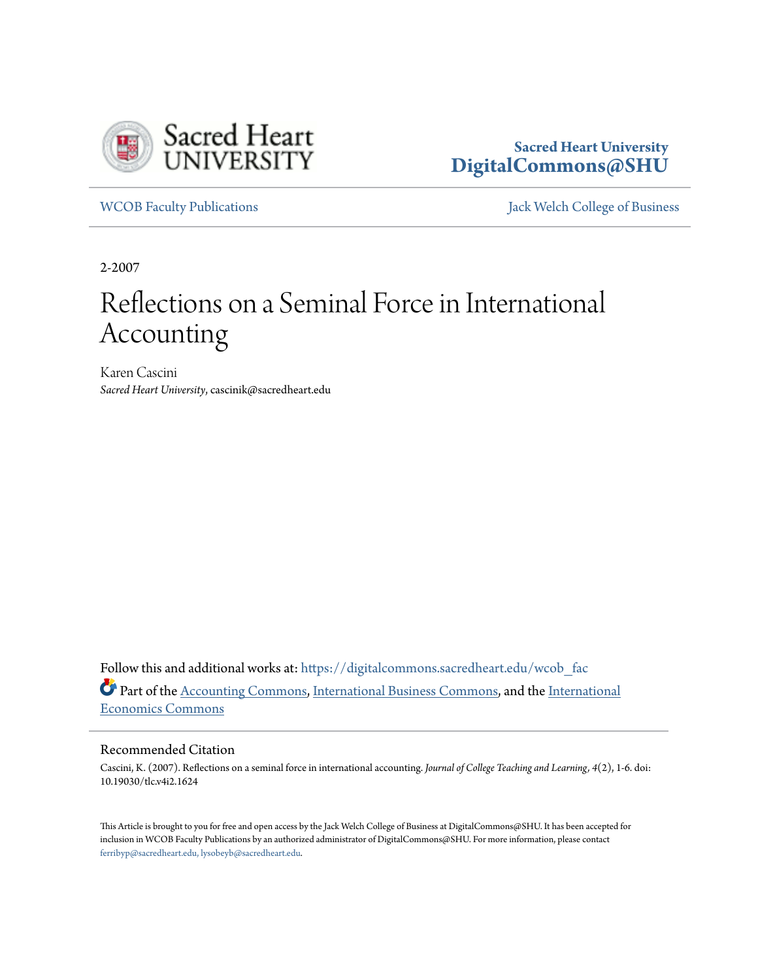

**Sacred Heart University [DigitalCommons@SHU](https://digitalcommons.sacredheart.edu?utm_source=digitalcommons.sacredheart.edu%2Fwcob_fac%2F120&utm_medium=PDF&utm_campaign=PDFCoverPages)**

[WCOB Faculty Publications](https://digitalcommons.sacredheart.edu/wcob_fac?utm_source=digitalcommons.sacredheart.edu%2Fwcob_fac%2F120&utm_medium=PDF&utm_campaign=PDFCoverPages) **MECOB** Faculty Publications **Accord Publications** [Jack Welch College of Business](https://digitalcommons.sacredheart.edu/wcob?utm_source=digitalcommons.sacredheart.edu%2Fwcob_fac%2F120&utm_medium=PDF&utm_campaign=PDFCoverPages)

2-2007

## Reflections on a Seminal Force in International Accounting

Karen Cascini *Sacred Heart University*, cascinik@sacredheart.edu

Follow this and additional works at: [https://digitalcommons.sacredheart.edu/wcob\\_fac](https://digitalcommons.sacredheart.edu/wcob_fac?utm_source=digitalcommons.sacredheart.edu%2Fwcob_fac%2F120&utm_medium=PDF&utm_campaign=PDFCoverPages) Part of the [Accounting Commons](http://network.bepress.com/hgg/discipline/625?utm_source=digitalcommons.sacredheart.edu%2Fwcob_fac%2F120&utm_medium=PDF&utm_campaign=PDFCoverPages), [International Business Commons](http://network.bepress.com/hgg/discipline/634?utm_source=digitalcommons.sacredheart.edu%2Fwcob_fac%2F120&utm_medium=PDF&utm_campaign=PDFCoverPages), and the [International](http://network.bepress.com/hgg/discipline/348?utm_source=digitalcommons.sacredheart.edu%2Fwcob_fac%2F120&utm_medium=PDF&utm_campaign=PDFCoverPages) [Economics Commons](http://network.bepress.com/hgg/discipline/348?utm_source=digitalcommons.sacredheart.edu%2Fwcob_fac%2F120&utm_medium=PDF&utm_campaign=PDFCoverPages)

## Recommended Citation

Cascini, K. (2007). Reflections on a seminal force in international accounting. *Journal of College Teaching and Learning, 4*(2), 1-6. doi: 10.19030/tlc.v4i2.1624

This Article is brought to you for free and open access by the Jack Welch College of Business at DigitalCommons@SHU. It has been accepted for inclusion in WCOB Faculty Publications by an authorized administrator of DigitalCommons@SHU. For more information, please contact [ferribyp@sacredheart.edu, lysobeyb@sacredheart.edu.](mailto:ferribyp@sacredheart.edu,%20lysobeyb@sacredheart.edu)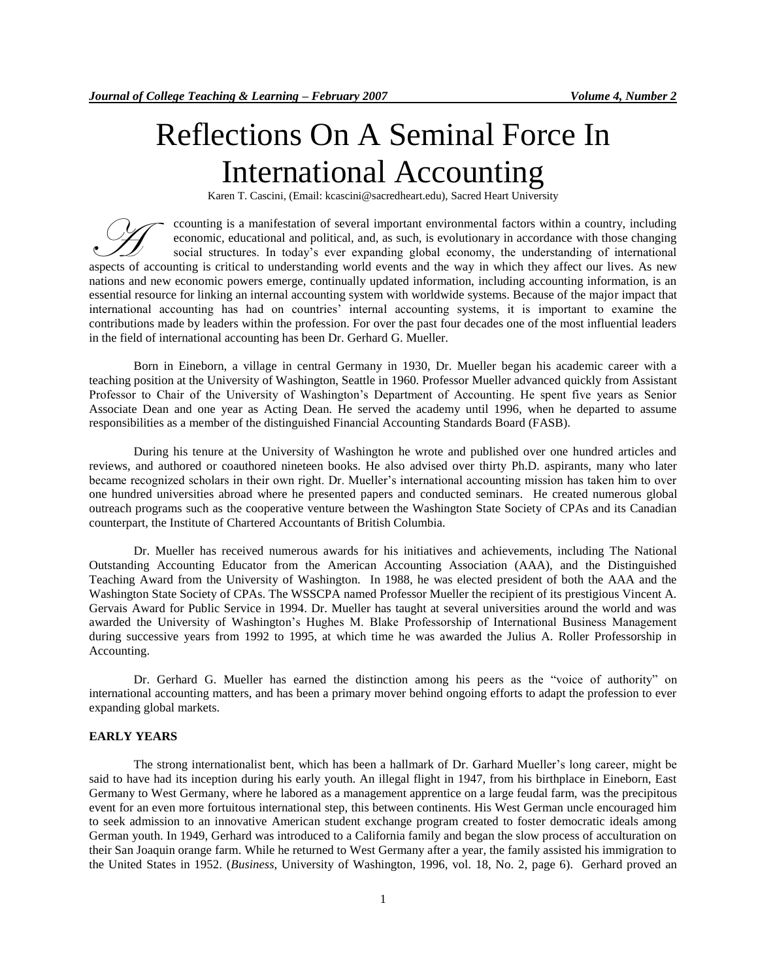# Reflections On A Seminal Force In International Accounting

Karen T. Cascini, (Email: kcascini@sacredheart.edu), Sacred Heart University

ccounting is a manifestation of several important environmental factors within a country, including economic, educational and political, and, as such, is evolutionary in accordance with those changing social structures. In today's ever expanding global economy, the understanding of international Example a manifestation of several important environmental factors within a country, including<br>economic, educational and political, and, as such, is evolutionary in accordance with those changing<br>social structures. In toda nations and new economic powers emerge, continually updated information, including accounting information, is an essential resource for linking an internal accounting system with worldwide systems. Because of the major impact that international accounting has had on countries" internal accounting systems, it is important to examine the contributions made by leaders within the profession. For over the past four decades one of the most influential leaders in the field of international accounting has been Dr. Gerhard G. Mueller.

Born in Eineborn, a village in central Germany in 1930, Dr. Mueller began his academic career with a teaching position at the University of Washington, Seattle in 1960. Professor Mueller advanced quickly from Assistant Professor to Chair of the University of Washington"s Department of Accounting. He spent five years as Senior Associate Dean and one year as Acting Dean. He served the academy until 1996, when he departed to assume responsibilities as a member of the distinguished Financial Accounting Standards Board (FASB).

During his tenure at the University of Washington he wrote and published over one hundred articles and reviews, and authored or coauthored nineteen books. He also advised over thirty Ph.D. aspirants, many who later became recognized scholars in their own right. Dr. Mueller"s international accounting mission has taken him to over one hundred universities abroad where he presented papers and conducted seminars. He created numerous global outreach programs such as the cooperative venture between the Washington State Society of CPAs and its Canadian counterpart, the Institute of Chartered Accountants of British Columbia.

Dr. Mueller has received numerous awards for his initiatives and achievements, including The National Outstanding Accounting Educator from the American Accounting Association (AAA), and the Distinguished Teaching Award from the University of Washington. In 1988, he was elected president of both the AAA and the Washington State Society of CPAs. The WSSCPA named Professor Mueller the recipient of its prestigious Vincent A. Gervais Award for Public Service in 1994. Dr. Mueller has taught at several universities around the world and was awarded the University of Washington"s Hughes M. Blake Professorship of International Business Management during successive years from 1992 to 1995, at which time he was awarded the Julius A. Roller Professorship in Accounting.

Dr. Gerhard G. Mueller has earned the distinction among his peers as the "voice of authority" on international accounting matters, and has been a primary mover behind ongoing efforts to adapt the profession to ever expanding global markets.

## **EARLY YEARS**

The strong internationalist bent, which has been a hallmark of Dr. Garhard Mueller"s long career, might be said to have had its inception during his early youth. An illegal flight in 1947, from his birthplace in Eineborn, East Germany to West Germany, where he labored as a management apprentice on a large feudal farm, was the precipitous event for an even more fortuitous international step, this between continents. His West German uncle encouraged him to seek admission to an innovative American student exchange program created to foster democratic ideals among German youth. In 1949, Gerhard was introduced to a California family and began the slow process of acculturation on their San Joaquin orange farm. While he returned to West Germany after a year, the family assisted his immigration to the United States in 1952. (*Business*, University of Washington, 1996, vol. 18, No. 2, page 6). Gerhard proved an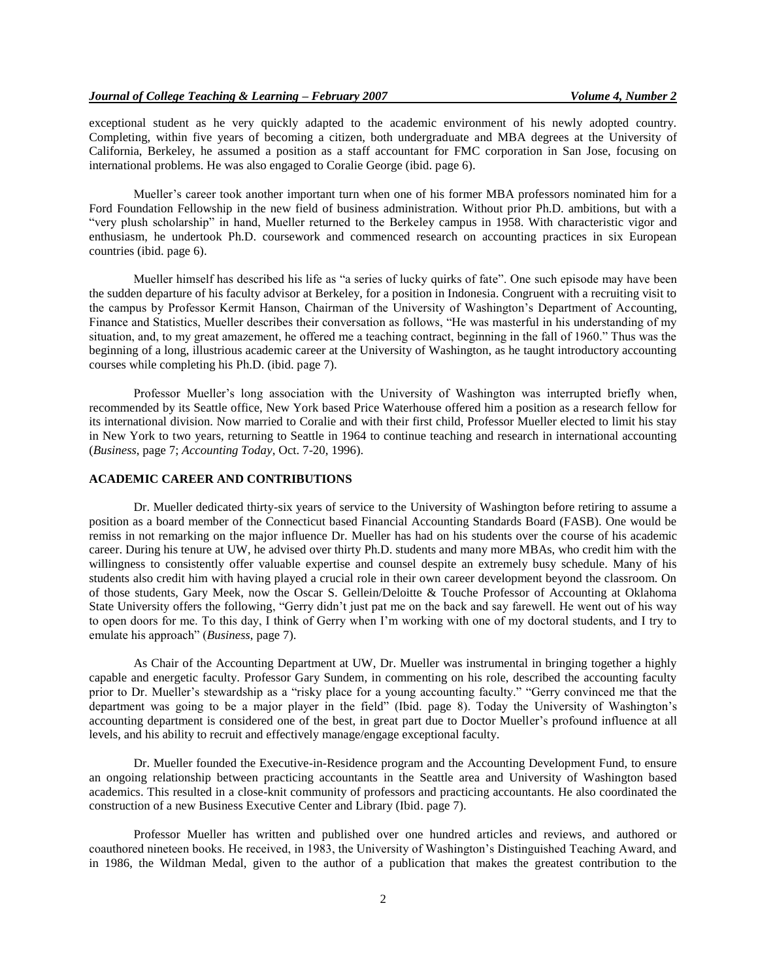exceptional student as he very quickly adapted to the academic environment of his newly adopted country. Completing, within five years of becoming a citizen, both undergraduate and MBA degrees at the University of California, Berkeley, he assumed a position as a staff accountant for FMC corporation in San Jose, focusing on international problems. He was also engaged to Coralie George (ibid. page 6).

Mueller"s career took another important turn when one of his former MBA professors nominated him for a Ford Foundation Fellowship in the new field of business administration. Without prior Ph.D. ambitions, but with a "very plush scholarship" in hand, Mueller returned to the Berkeley campus in 1958. With characteristic vigor and enthusiasm, he undertook Ph.D. coursework and commenced research on accounting practices in six European countries (ibid. page 6).

Mueller himself has described his life as "a series of lucky quirks of fate". One such episode may have been the sudden departure of his faculty advisor at Berkeley, for a position in Indonesia. Congruent with a recruiting visit to the campus by Professor Kermit Hanson, Chairman of the University of Washington"s Department of Accounting, Finance and Statistics, Mueller describes their conversation as follows, "He was masterful in his understanding of my situation, and, to my great amazement, he offered me a teaching contract, beginning in the fall of 1960." Thus was the beginning of a long, illustrious academic career at the University of Washington, as he taught introductory accounting courses while completing his Ph.D. (ibid. page 7).

Professor Mueller's long association with the University of Washington was interrupted briefly when, recommended by its Seattle office, New York based Price Waterhouse offered him a position as a research fellow for its international division. Now married to Coralie and with their first child, Professor Mueller elected to limit his stay in New York to two years, returning to Seattle in 1964 to continue teaching and research in international accounting (*Business*, page 7; *Accounting Today*, Oct. 7-20, 1996).

#### **ACADEMIC CAREER AND CONTRIBUTIONS**

Dr. Mueller dedicated thirty-six years of service to the University of Washington before retiring to assume a position as a board member of the Connecticut based Financial Accounting Standards Board (FASB). One would be remiss in not remarking on the major influence Dr. Mueller has had on his students over the course of his academic career. During his tenure at UW, he advised over thirty Ph.D. students and many more MBAs, who credit him with the willingness to consistently offer valuable expertise and counsel despite an extremely busy schedule. Many of his students also credit him with having played a crucial role in their own career development beyond the classroom. On of those students, Gary Meek, now the Oscar S. Gellein/Deloitte & Touche Professor of Accounting at Oklahoma State University offers the following, "Gerry didn"t just pat me on the back and say farewell. He went out of his way to open doors for me. To this day, I think of Gerry when I"m working with one of my doctoral students, and I try to emulate his approach" (*Business*, page 7).

As Chair of the Accounting Department at UW, Dr. Mueller was instrumental in bringing together a highly capable and energetic faculty. Professor Gary Sundem, in commenting on his role, described the accounting faculty prior to Dr. Mueller's stewardship as a "risky place for a young accounting faculty." "Gerry convinced me that the department was going to be a major player in the field" (Ibid. page 8). Today the University of Washington"s accounting department is considered one of the best, in great part due to Doctor Mueller"s profound influence at all levels, and his ability to recruit and effectively manage/engage exceptional faculty.

Dr. Mueller founded the Executive-in-Residence program and the Accounting Development Fund, to ensure an ongoing relationship between practicing accountants in the Seattle area and University of Washington based academics. This resulted in a close-knit community of professors and practicing accountants. He also coordinated the construction of a new Business Executive Center and Library (Ibid. page 7).

Professor Mueller has written and published over one hundred articles and reviews, and authored or coauthored nineteen books. He received, in 1983, the University of Washington"s Distinguished Teaching Award, and in 1986, the Wildman Medal, given to the author of a publication that makes the greatest contribution to the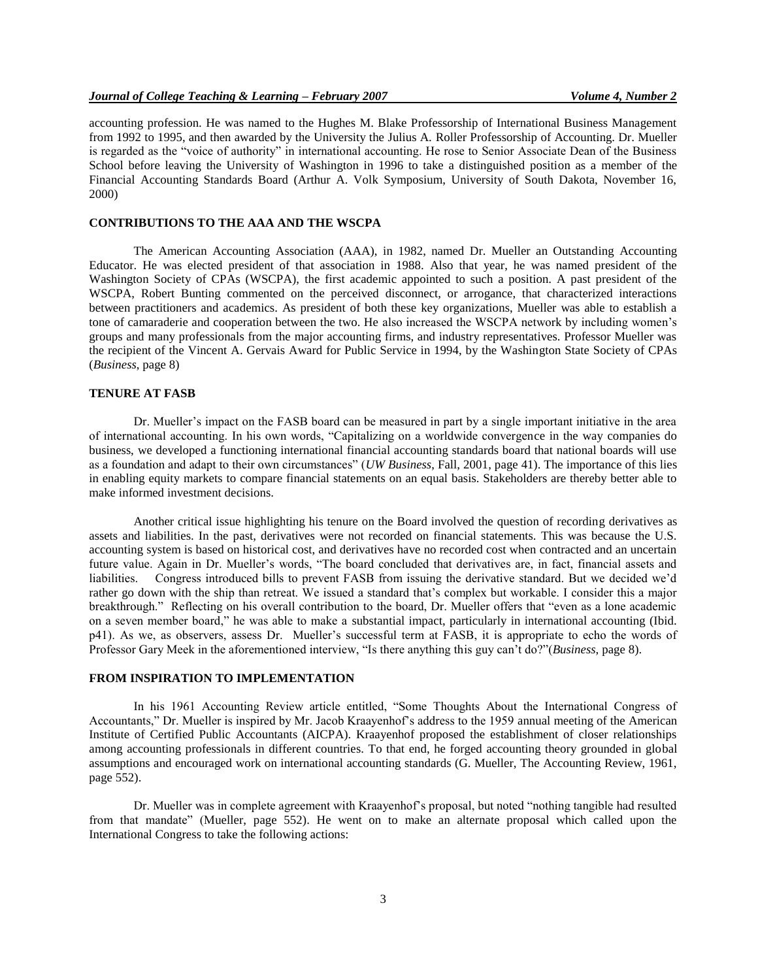accounting profession. He was named to the Hughes M. Blake Professorship of International Business Management from 1992 to 1995, and then awarded by the University the Julius A. Roller Professorship of Accounting. Dr. Mueller is regarded as the "voice of authority" in international accounting. He rose to Senior Associate Dean of the Business School before leaving the University of Washington in 1996 to take a distinguished position as a member of the Financial Accounting Standards Board (Arthur A. Volk Symposium, University of South Dakota, November 16, 2000)

#### **CONTRIBUTIONS TO THE AAA AND THE WSCPA**

The American Accounting Association (AAA), in 1982, named Dr. Mueller an Outstanding Accounting Educator. He was elected president of that association in 1988. Also that year, he was named president of the Washington Society of CPAs (WSCPA), the first academic appointed to such a position. A past president of the WSCPA, Robert Bunting commented on the perceived disconnect, or arrogance, that characterized interactions between practitioners and academics. As president of both these key organizations, Mueller was able to establish a tone of camaraderie and cooperation between the two. He also increased the WSCPA network by including women"s groups and many professionals from the major accounting firms, and industry representatives. Professor Mueller was the recipient of the Vincent A. Gervais Award for Public Service in 1994, by the Washington State Society of CPAs (*Business*, page 8)

#### **TENURE AT FASB**

Dr. Mueller"s impact on the FASB board can be measured in part by a single important initiative in the area of international accounting. In his own words, "Capitalizing on a worldwide convergence in the way companies do business, we developed a functioning international financial accounting standards board that national boards will use as a foundation and adapt to their own circumstances" (*UW Business*, Fall, 2001, page 41). The importance of this lies in enabling equity markets to compare financial statements on an equal basis. Stakeholders are thereby better able to make informed investment decisions.

Another critical issue highlighting his tenure on the Board involved the question of recording derivatives as assets and liabilities. In the past, derivatives were not recorded on financial statements. This was because the U.S. accounting system is based on historical cost, and derivatives have no recorded cost when contracted and an uncertain future value. Again in Dr. Mueller"s words, "The board concluded that derivatives are, in fact, financial assets and liabilities. Congress introduced bills to prevent FASB from issuing the derivative standard. But we decided we"d rather go down with the ship than retreat. We issued a standard that's complex but workable. I consider this a major breakthrough." Reflecting on his overall contribution to the board, Dr. Mueller offers that "even as a lone academic on a seven member board," he was able to make a substantial impact, particularly in international accounting (Ibid. p41). As we, as observers, assess Dr. Mueller"s successful term at FASB, it is appropriate to echo the words of Professor Gary Meek in the aforementioned interview, "Is there anything this guy can"t do?"(*Business*, page 8).

#### **FROM INSPIRATION TO IMPLEMENTATION**

In his 1961 Accounting Review article entitled, "Some Thoughts About the International Congress of Accountants," Dr. Mueller is inspired by Mr. Jacob Kraayenhof"s address to the 1959 annual meeting of the American Institute of Certified Public Accountants (AICPA). Kraayenhof proposed the establishment of closer relationships among accounting professionals in different countries. To that end, he forged accounting theory grounded in global assumptions and encouraged work on international accounting standards (G. Mueller, The Accounting Review, 1961, page 552).

Dr. Mueller was in complete agreement with Kraayenhof"s proposal, but noted "nothing tangible had resulted from that mandate" (Mueller, page 552). He went on to make an alternate proposal which called upon the International Congress to take the following actions: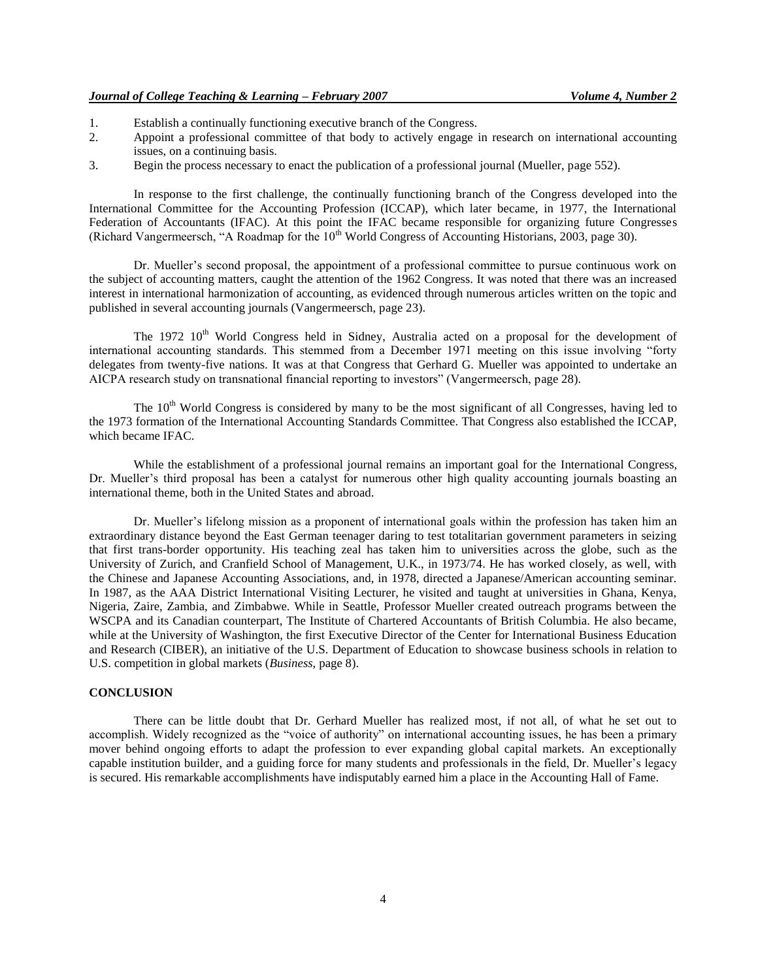- 1. Establish a continually functioning executive branch of the Congress.
- 2. Appoint a professional committee of that body to actively engage in research on international accounting issues, on a continuing basis.
- 3. Begin the process necessary to enact the publication of a professional journal (Mueller, page 552).

In response to the first challenge, the continually functioning branch of the Congress developed into the International Committee for the Accounting Profession (ICCAP), which later became, in 1977, the International Federation of Accountants (IFAC). At this point the IFAC became responsible for organizing future Congresses (Richard Vangermeersch, "A Roadmap for the  $10<sup>th</sup>$  World Congress of Accounting Historians, 2003, page 30).

Dr. Mueller's second proposal, the appointment of a professional committee to pursue continuous work on the subject of accounting matters, caught the attention of the 1962 Congress. It was noted that there was an increased interest in international harmonization of accounting, as evidenced through numerous articles written on the topic and published in several accounting journals (Vangermeersch, page 23).

The 1972 10<sup>th</sup> World Congress held in Sidney, Australia acted on a proposal for the development of international accounting standards. This stemmed from a December 1971 meeting on this issue involving "forty delegates from twenty-five nations. It was at that Congress that Gerhard G. Mueller was appointed to undertake an AICPA research study on transnational financial reporting to investors" (Vangermeersch, page 28).

The 10<sup>th</sup> World Congress is considered by many to be the most significant of all Congresses, having led to the 1973 formation of the International Accounting Standards Committee. That Congress also established the ICCAP, which became IFAC.

While the establishment of a professional journal remains an important goal for the International Congress, Dr. Mueller's third proposal has been a catalyst for numerous other high quality accounting journals boasting an international theme, both in the United States and abroad.

Dr. Mueller's lifelong mission as a proponent of international goals within the profession has taken him an extraordinary distance beyond the East German teenager daring to test totalitarian government parameters in seizing that first trans-border opportunity. His teaching zeal has taken him to universities across the globe, such as the University of Zurich, and Cranfield School of Management, U.K., in 1973/74. He has worked closely, as well, with the Chinese and Japanese Accounting Associations, and, in 1978, directed a Japanese/American accounting seminar. In 1987, as the AAA District International Visiting Lecturer, he visited and taught at universities in Ghana, Kenya, Nigeria, Zaire, Zambia, and Zimbabwe. While in Seattle, Professor Mueller created outreach programs between the WSCPA and its Canadian counterpart, The Institute of Chartered Accountants of British Columbia. He also became, while at the University of Washington, the first Executive Director of the Center for International Business Education and Research (CIBER), an initiative of the U.S. Department of Education to showcase business schools in relation to U.S. competition in global markets (*Business*, page 8).

#### **CONCLUSION**

There can be little doubt that Dr. Gerhard Mueller has realized most, if not all, of what he set out to accomplish. Widely recognized as the "voice of authority" on international accounting issues, he has been a primary mover behind ongoing efforts to adapt the profession to ever expanding global capital markets. An exceptionally capable institution builder, and a guiding force for many students and professionals in the field, Dr. Mueller"s legacy is secured. His remarkable accomplishments have indisputably earned him a place in the Accounting Hall of Fame.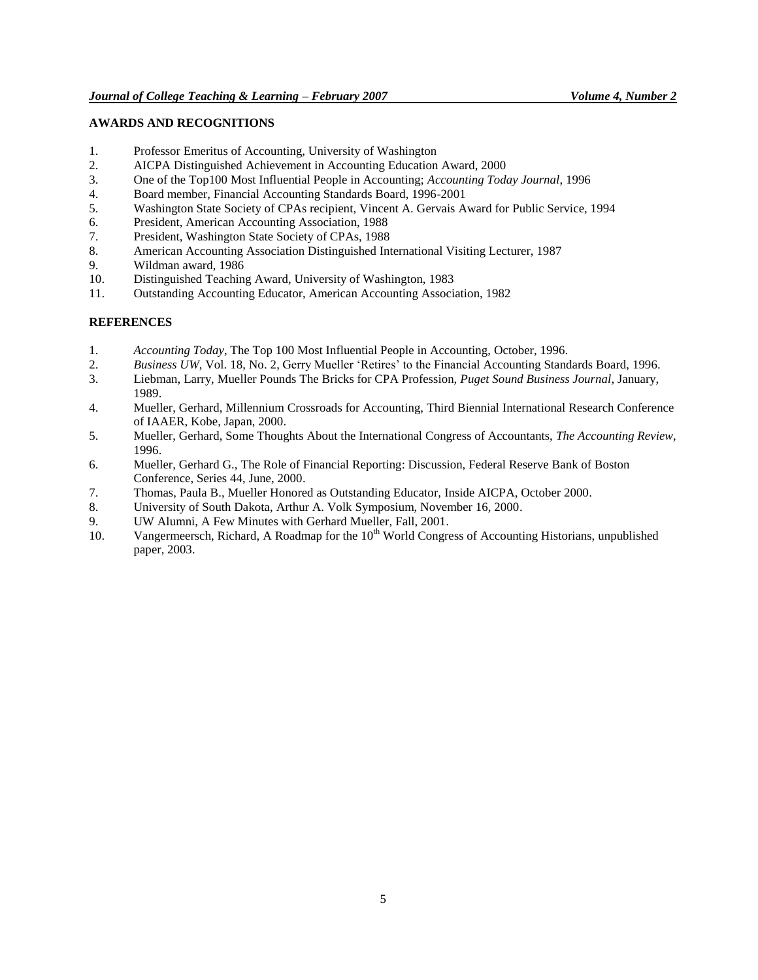## **AWARDS AND RECOGNITIONS**

- 1. Professor Emeritus of Accounting, University of Washington
- 2. AICPA Distinguished Achievement in Accounting Education Award, 2000
- 3. One of the Top100 Most Influential People in Accounting; *Accounting Today Journal*, 1996
- 4. Board member, Financial Accounting Standards Board, 1996-2001
- 5. Washington State Society of CPAs recipient, Vincent A. Gervais Award for Public Service, 1994
- 6. President, American Accounting Association, 1988
- 7. President, Washington State Society of CPAs, 1988
- 8. American Accounting Association Distinguished International Visiting Lecturer, 1987
- 9. Wildman award, 1986
- 10. Distinguished Teaching Award, University of Washington, 1983
- 11. Outstanding Accounting Educator, American Accounting Association, 1982

### **REFERENCES**

- 1. *Accounting Today*, The Top 100 Most Influential People in Accounting, October, 1996.
- 2. *Business UW*, Vol. 18, No. 2, Gerry Mueller "Retires" to the Financial Accounting Standards Board, 1996.
- 3. Liebman, Larry, Mueller Pounds The Bricks for CPA Profession, *Puget Sound Business Journal*, January, 1989.
- 4. Mueller, Gerhard, Millennium Crossroads for Accounting, Third Biennial International Research Conference of IAAER, Kobe, Japan, 2000.
- 5. Mueller, Gerhard, Some Thoughts About the International Congress of Accountants, *The Accounting Review*, 1996.
- 6. Mueller, Gerhard G., The Role of Financial Reporting: Discussion, Federal Reserve Bank of Boston Conference, Series 44, June, 2000.
- 7. Thomas, Paula B., Mueller Honored as Outstanding Educator, Inside AICPA, October 2000.
- 8. University of South Dakota, Arthur A. Volk Symposium, November 16, 2000.
- 9. UW Alumni, A Few Minutes with Gerhard Mueller, Fall, 2001.
- 10. Vangermeersch, Richard, A Roadmap for the 10<sup>th</sup> World Congress of Accounting Historians, unpublished paper, 2003.